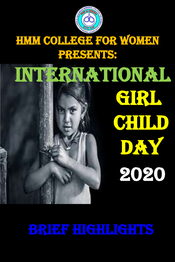

## HMM COLLEGE FOR WOMEN PRESENTIS:









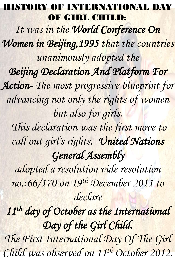HISTORY OF INTERNATIONAL DAY OF GIRL CHILD: *It was in the World Conference On Women in Beijing,1995 that the countries unanimously adopted the Beijing Declaration And Platform For Action- The most progressive blueprint for advancing not only the rights of women* 

# *but also for girls. This declaration was the first move to call out girl's rights. United Nations General Assembly adopted a resolution vide resolution no.:66/170 on 19th December 2011 to declare*

*11th day of October as the International* 

### *Day of the Girl Child.*

### *The First International Day Of The Girl*

## *Child was observed on 11th October 2012.*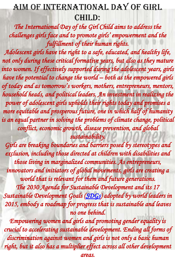### Aim of International day of girl CHILD:

The International Day of the Girl Child aims to address the *challenges girls face and to promote girls' empowerment and the fulfillment of their human rights.*

#### *Empowering women and girls and promoting gender equality is*  crucial to accelerating sustainable development. Ending all forms of *discrimination against women and girls is not only a basic human*  right, but it also has a multiplier effect across all other development

*Adolescent girls have the right to a safe, educated, and healthy life,*  not only during these critical formative years, but also as they mature into women. If effectively supported during the adolescent years, girls *have the potential to change the world – both as the empowered girls of today and as tomorrow's workers, mothers, entrepreneurs, mentors, household heads, and political leaders. An investment in realizing the power of adolescent girls upholds their rights today and promises a more equitable and prosperous future, one in which half of humanity is an equal partner in solving the problems of climate change, political conflict, economic growth, disease prevention, and global sustainability. Girls are breaking boundaries and barriers posed by stereotypes and exclusion, including those directed at children with disabilities and those living in marginalized communities. As entrepreneurs, innovators and initiators of global movements, girls are creating a world that is relevant for them and future generations. The 2030 Agenda for Sustainable Development and its 17 Sustainable Development Goals ([SDGs\)](https://www.un.org/sustainabledevelopment/) adopted by world leaders in 2015, embody a roadmap for progress that is sustainable and leaves no one behind.*

*areas.*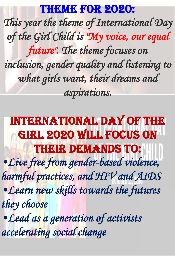# THEME FOR 2020: *This year the theme of International Day of the Girl Child is "My voice, our equal future". The theme focuses on inclusion, gender quality and listening to what girls want, their dreams and aspirations.*

International Day of the Girl 2020 will focus on THEIR DEWANDS TO: *•Live free from gender-based violence, harmful practices, and HIV and AIDS •Learn new skills towards the futures they choose*

### *•Lead as a generation of activists*

### *accelerating social change*